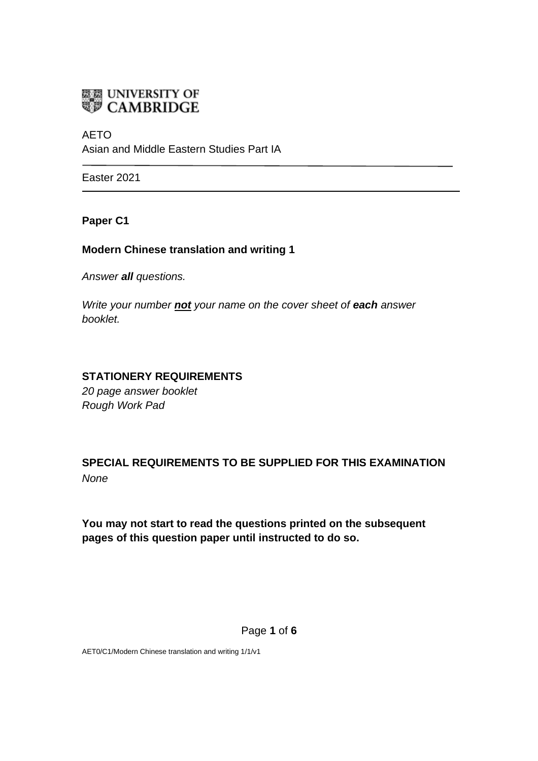

AETO Asian and Middle Eastern Studies Part IA

Easter 2021

**Paper C1**

### **Modern Chinese translation and writing 1**

*Answer all questions.*

*Write your number not your name on the cover sheet of each answer booklet.* 

### **STATIONERY REQUIREMENTS**

*20 page answer booklet Rough Work Pad*

**SPECIAL REQUIREMENTS TO BE SUPPLIED FOR THIS EXAMINATION** *None*

**You may not start to read the questions printed on the subsequent pages of this question paper until instructed to do so.**

Page **1** of **6**

AET0/C1/Modern Chinese translation and writing 1/1/v1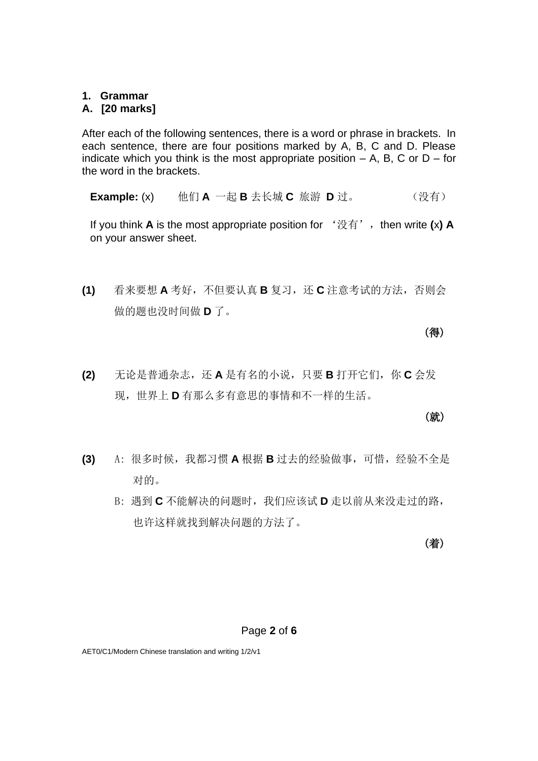### **1. Grammar**

### **A. [20 marks]**

After each of the following sentences, there is a word or phrase in brackets. In each sentence, there are four positions marked by A, B, C and D. Please indicate which you think is the most appropriate position  $- A$ , B, C or D – for the word in the brackets.

**Example:** (x) 他们 **A** 一起 **B** 去长城 **C** 旅游 **D** 过。 (没有)

If you think **A** is the most appropriate position for '没有', then write (x) **A** on your answer sheet.

**(1)** 看来要想 **A** 考好,不但要认真 **B** 复习,还 **C** 注意考试的方法,否则会 做的题也没时间做 **D** 了。

(得)

**(2)** 无论是普通杂志,还 **A** 是有名的小说,只要 **B** 打开它们,你 **C** 会发 现,世界上 **D** 有那么多有意思的事情和不一样的生活。

### **(就)** (就)

- (3) A: 很多时候, 我都习惯 A 根据 B 过去的经验做事, 可惜, 经验不全是 对的。
	- B: 遇到 **C** 不能解决的问题时,我们应该试 **D** 走以前从来没走过的路, 也许这样就找到解决问题的方法了。

(着)

#### Page **2** of **6**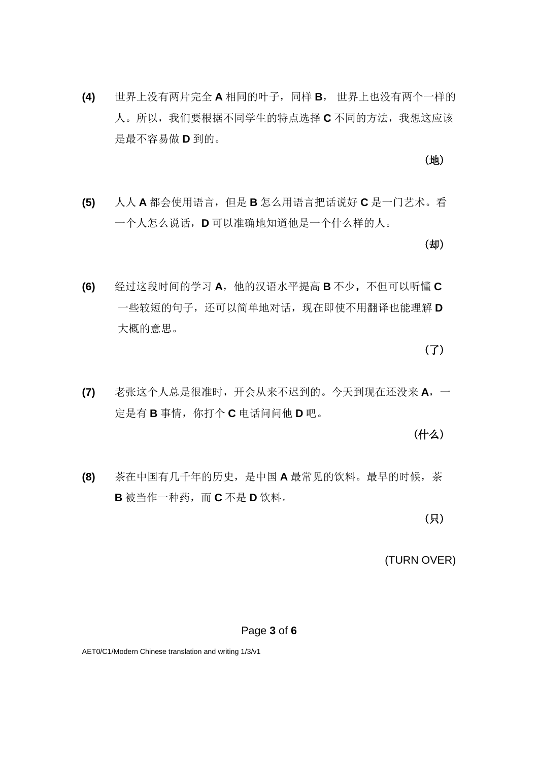**(4)** 世界上没有两片完全 **A** 相同的叶子,同样 **B**, 世界上也没有两个一样的 人。所以,我们要根据不同学生的特点选择 **C** 不同的方法,我想这应该 是最不容易做 **D** 到的。

**(5)** 人人 **A** 都会使用语言,但是 **B** 怎么用语言把话说好 **C** 是一门艺术。看 一个人怎么说话,**D** 可以准确地知道他是一个什么样的人。

**(6)** 经过这段时间的学习 **A**,他的汉语水平提高 **B** 不少,不但可以听懂 **C** 一些较短的句子,还可以简单地对话,现在即使不用翻译也能理解 **D**

(了)

**(7)** 老张这个人总是很准时,开会从来不迟到的。今天到现在还没来 **A**,一 定是有 **B** 事情,你打个 **C** 电话问问他 **D** 吧。

(什么)

**(8)** 茶在中国有几千年的历史,是中国 **A** 最常见的饮料。最早的时候,茶 **B** 被当作一种药,而 **C** 不是 **D** 饮料。

(只)

(TURN OVER)

#### Page **3** of **6**

大概的意思。

(地)

(却)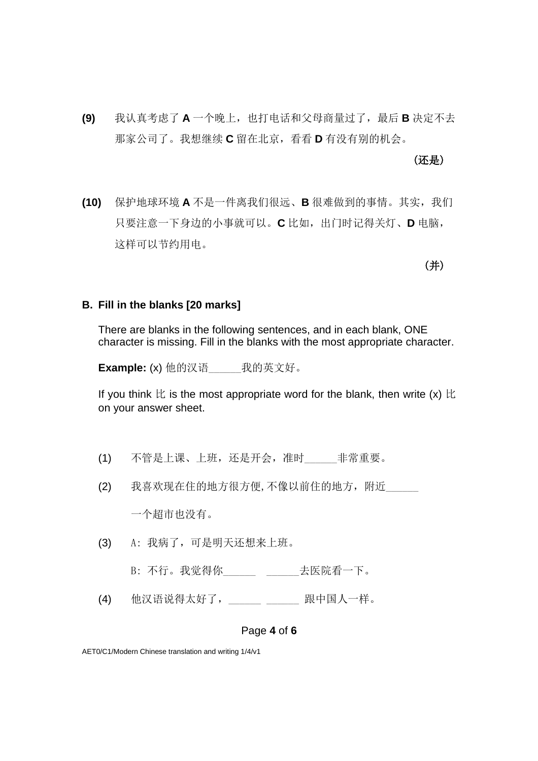**(9)** 我认真考虑了 **A** 一个晚上,也打电话和父母商量过了,最后 **B** 决定不去 那家公司了。我想继续 **C** 留在北京,看看 **D** 有没有别的机会。

(还是)

**(10)** 保护地球环境 **A** 不是一件离我们很远、**B** 很难做到的事情。其实,我们 只要注意一下身边的小事就可以。**C** 比如,出门时记得关灯、**D** 电脑, 这样可以节约用电。

(并)

### **B. Fill in the blanks [20 marks]**

There are blanks in the following sentences, and in each blank, ONE character is missing. Fill in the blanks with the most appropriate character.

**Example:** (x) 他的汉语\_\_\_\_\_\_我的英文好。

If you think  $E$  is the most appropriate word for the blank, then write  $(x)$   $E$ on your answer sheet.

- (1) 不管是上课、上班,还是开会,准时\_\_\_\_\_\_非常重要。
- (2) 我喜欢现在住的地方很方便,不像以前住的地方,附近

一个超市也没有。

- (3) A: 我病了,可是明天还想来上班。
	- B: 不行。我觉得你\_\_\_\_\_\_\_\_\_\_\_\_\_\_\_\_\_\_\_\_\_\_去医院看一下。
- (4) 他汉语说得太好了, \_\_\_\_\_\_ \_\_\_\_\_\_ 跟中国人一样。

#### Page **4** of **6**

AET0/C1/Modern Chinese translation and writing 1/4/v1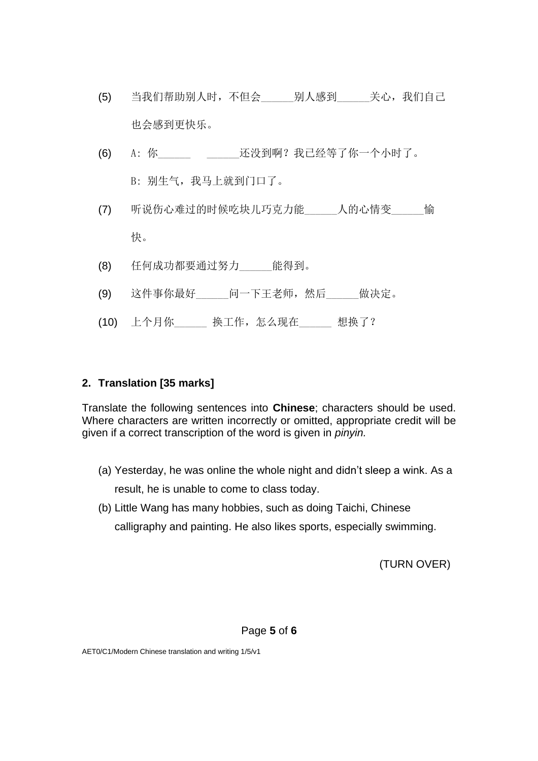- (5) 当我们帮助别人时,不但会\_\_\_\_\_\_别人感到\_\_\_\_\_\_关心,我们自己 也会感到更快乐。
- (6) A: 你\_\_\_\_\_\_ \_\_\_\_\_\_还没到啊?我已经等了你一个小时了。 B: 别生气,我马上就到门口了。
- (7) 听说伤心难过的时候吃块儿巧克力能\_\_\_\_\_\_\_人的心情变\_\_\_\_\_\_愉 快。
- (8) 任何成功都要通过努力\_\_\_\_\_\_能得到。
- (9) 这件事你最好 问一下王老师,然后 做决定。
- (10) 上个月你\_\_\_\_\_\_ 换工作,怎么现在\_\_\_\_\_\_ 想换了?

# **2. Translation [35 marks]**

Translate the following sentences into **Chinese**; characters should be used. Where characters are written incorrectly or omitted, appropriate credit will be given if a correct transcription of the word is given in *pinyin.*

- (a) Yesterday, he was online the whole night and didn't sleep a wink. As a result, he is unable to come to class today.
- (b) Little Wang has many hobbies, such as doing Taichi, Chinese calligraphy and painting. He also likes sports, especially swimming.

(TURN OVER)

Page **5** of **6**